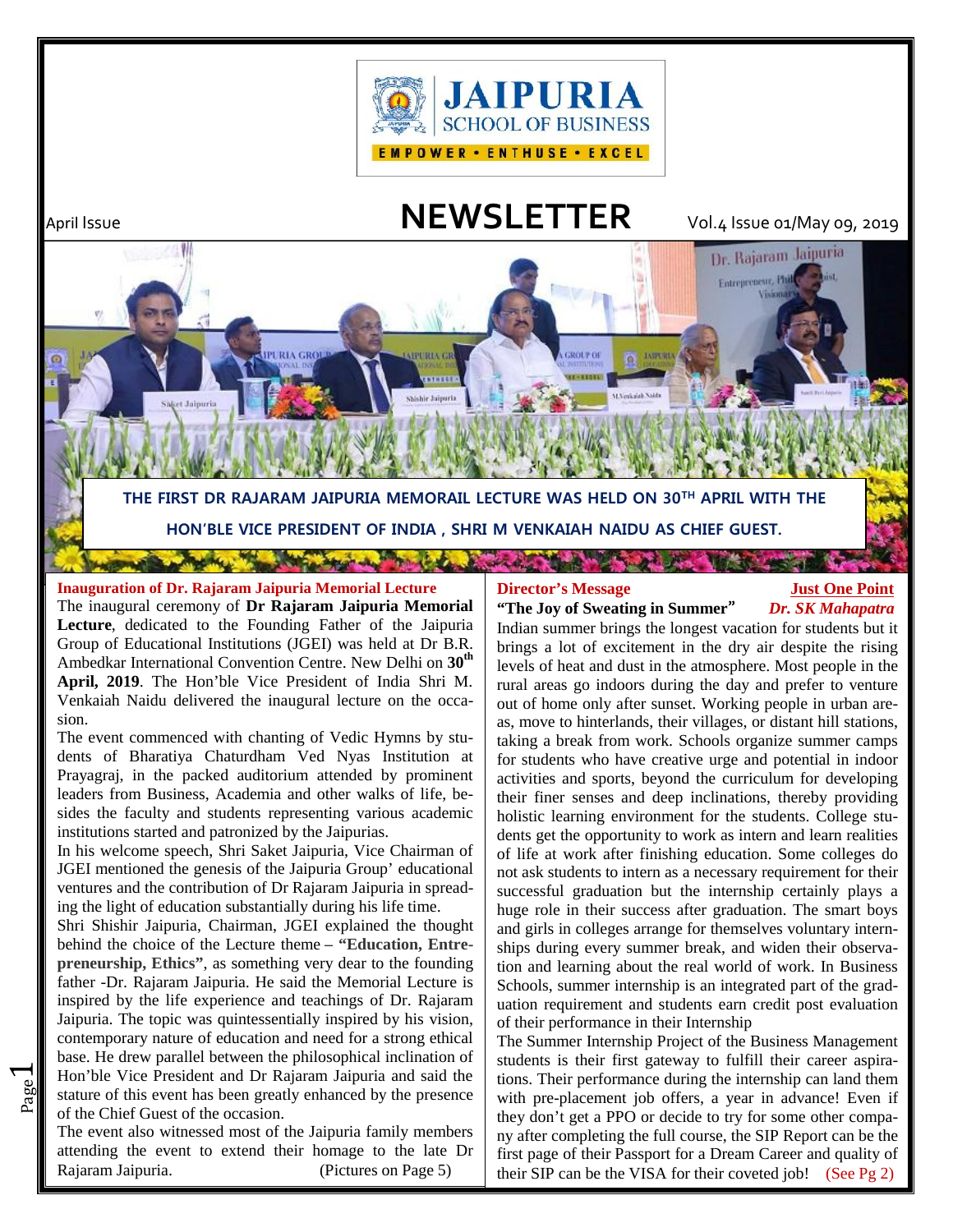

April Issue **NEWSLETTER** Vol.4 Issue 01/May 09, 2019

Dr. Rajaram Jaipuria

**Entrepreneur**, Phi



# **Inauguration of Dr. Rajaram Jaipuria Memorial Lecture**

The inaugural ceremony of **Dr Rajaram Jaipuria Memorial Lecture**, dedicated to the Founding Father of the Jaipuria Group of Educational Institutions (JGEI) was held at Dr B.R. Ambedkar International Convention Centre. New Delhi on **30th April, 2019**. The Hon'ble Vice President of India Shri M. Venkaiah Naidu delivered the inaugural lecture on the occasion.

**TRIA CRO** 

The event commenced with chanting of Vedic Hymns by students of Bharatiya Chaturdham Ved Nyas Institution at Prayagraj, in the packed auditorium attended by prominent leaders from Business, Academia and other walks of life, besides the faculty and students representing various academic institutions started and patronized by the Jaipurias.

In his welcome speech, Shri Saket Jaipuria, Vice Chairman of JGEI mentioned the genesis of the Jaipuria Group' educational ventures and the contribution of Dr Rajaram Jaipuria in spreading the light of education substantially during his life time.

 $\frac{80}{60}$  stature of this event has been greatly enhanced by the presence with Hon'ble Vice President and Dr Rajaram Jaipuria and said the | tions Shri Shishir Jaipuria, Chairman, JGEI explained the thought behind the choice of the Lecture theme **– "Education, Entrepreneurship, Ethics"**, as something very dear to the founding father -Dr. Rajaram Jaipuria. He said the Memorial Lecture is inspired by the life experience and teachings of Dr. Rajaram Jaipuria. The topic was quintessentially inspired by his vision, contemporary nature of education and need for a strong ethical base. He drew parallel between the philosophical inclination of of the Chief Guest of the occasion.

 $\overline{\phantom{0}}$ 

The event also witnessed most of the Jaipuria family members attending the event to extend their homage to the late Dr Rajaram Jaipuria. (Pictures on Page 5)

**GROLT OF** 

## **Director's Message 5 Just One Point "The Joy of Sweating in Summer"** *Dr. SK Mahapatra*

Indian summer brings the longest vacation for students but it brings a lot of excitement in the dry air despite the rising levels of heat and dust in the atmosphere. Most people in the rural areas go indoors during the day and prefer to venture out of home only after sunset. Working people in urban areas, move to hinterlands, their villages, or distant hill stations, taking a break from work. Schools organize summer camps for students who have creative urge and potential in indoor activities and sports, beyond the curriculum for developing their finer senses and deep inclinations, thereby providing holistic learning environment for the students. College students get the opportunity to work as intern and learn realities of life at work after finishing education. Some colleges do not ask students to intern as a necessary requirement for their successful graduation but the internship certainly plays a huge role in their success after graduation. The smart boys and girls in colleges arrange for themselves voluntary internships during every summer break, and widen their observation and learning about the real world of work. In Business Schools, summer internship is an integrated part of the graduation requirement and students earn credit post evaluation of their performance in their Internship

The Summer Internship Project of the Business Management students is their first gateway to fulfill their career aspirations. Their performance during the internship can land them with pre-placement job offers, a year in advance! Even if they don't get a PPO or decide to try for some other company after completing the full course, the SIP Report can be the first page of their Passport for a Dream Career and quality of their SIP can be the VISA for their coveted job! (See Pg 2)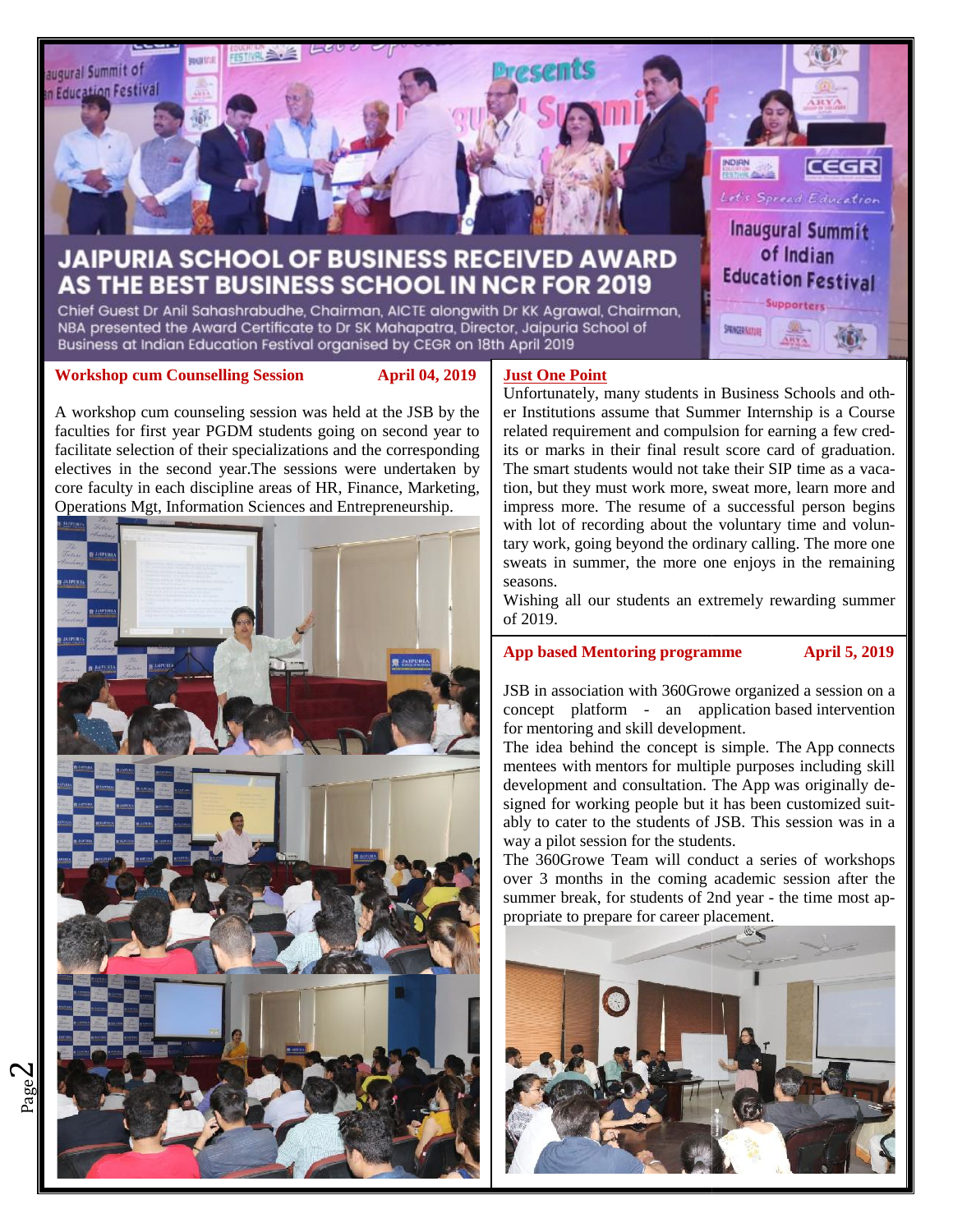

NBA presented the Award Certificate to Dr SK Mahapatra, Director, Jaipuria School of Business at Indian Education Festival organised by CEGR on 18th April 2019

#### **Workshop cum Counselling Session April 04, 2019 Session**

A workshop cum counseling session was held at the JSB by the faculties for first year PGDM students going on second year to facilitate selection of their specializations and the corresponding | its or electives in the second year.The sessions were undertaken by core faculty in each discipline areas of HR, Finance, Marketing, Operations Mgt, Information Sciences and Entrepreneurship. A workshop cum counseling session was held at the JSB by faculties for first year PGDM students going on second year<br>facilitate selection of their specializations and the correspondielectives in the second year. The sessio



# **Just One Point**

Unfortunately, many students in Business Schools and other Institutions assume that Summer Internship is a Course related requirement and compulsion for earning a few credits or marks in their final result score card of graduation. The smart students would not take their SIP time as a vacation, but they must work more, sweat more, learn more and impress more. The resume of a successful person begins with lot of recording about the voluntary time and voluntary work, going beyond the ordinary calling. The more one sweats in summer, the more one enjoys in the remaining seasons. **Just One Point**<br>
Unfortunately, many students in Business Schools and oth-<br>
Unfortunately, many students in Business Schools and oth-<br>
Information assume that Summer Internship is a Course<br>
related requirement and compuls er Institutions assume that Summer Internship is a Course<br>related requirement and compulsion for earning a few cred-<br>its or marks in their final result score card of graduation.<br>The smart students would not take their SIP with lot of recording about the voluntary time and voluntary work, going beyond the ordinary calling. The more one sweats in summer, the more one enjoys in the remaining seasons.<br>Wishing all our students an extremely rewar

SMINGERNation

Wishing all our students an extremely rewarding summer of 2019.

## **App based Mentoring programme April 5, 2019**

JSB in association with 360Growe organized a session on a concept platform - an application based intervention for mentoring and skill development. JSB in association with 360Growe organized<br>concept platform - an application base<br>for mentoring and skill development.

The idea behind the concept is simple. The App connects mentees with mentors for multiple purposes including skill development and consultation. The App was originally designed for working people but it has been customized suitably to cater to the students of JSB. This session was in a  $\mathbf{u}$ way a pilot session for the students. The idea behind the concept is simple. The App connects mentees with mentors for multiple purposes including skill development and consultation. The App was originally designed for working people but it has been customized

The 360Growe Team will conduct a series of workshops  $\|\cdot\|$ over 3 months in the coming academic session after the summer break, for students of 2nd year - the time most appropriate to prepare for career placement.



 $\boldsymbol{\sim}$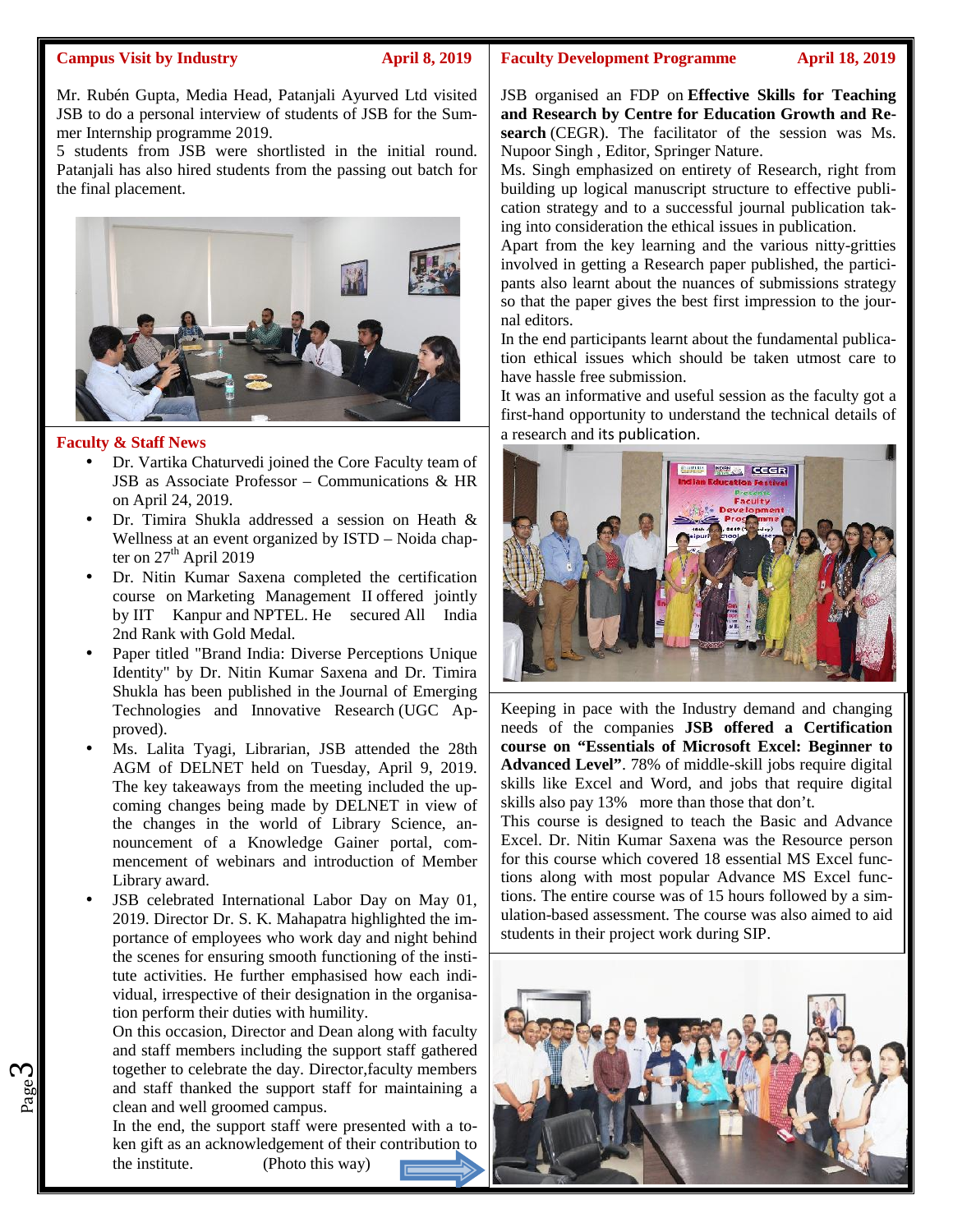#### **Campus Visit by Industry April 8, 2019**

Mr. Rubén Gupta, Media Head, Patanjali Ayurved Ltd visited JSB to do a personal interview of students of JSB for the Summer Internship programme 2019.

5 students from JSB were shortlisted in the initial round. Patanjali has also hired students from the passing out batch for the final placement.



#### **Faculty & Staff News**

Page

ო

- Dr. Vartika Chaturvedi joined the Core Faculty team of JSB as Associate Professor – Communications & HR on April 24, 2019.
- Dr. Timira Shukla addressed a session on Heath & Wellness at an event organized by ISTD – Noida chapter on  $27<sup>th</sup>$  April 2019
- Dr. Nitin Kumar Saxena completed the certification course on Marketing Management II offered jointly by IIT Kanpur and NPTEL. He secured All India 2nd Rank with Gold Medal.
- Paper titled "Brand India: Diverse Perceptions Unique Identity" by Dr. Nitin Kumar Saxena and Dr. Timira Shukla has been published in the Journal of Emerging Technologies and Innovative Research (UGC Approved).
- Ms. Lalita Tyagi, Librarian, JSB attended the 28th AGM of DELNET held on Tuesday, April 9, 2019. The key takeaways from the meeting included the upcoming changes being made by DELNET in view of the changes in the world of Library Science, announcement of a Knowledge Gainer portal, commencement of webinars and introduction of Member Library award.
- JSB celebrated International Labor Day on May 01, 2019. Director Dr. S. K. Mahapatra highlighted the importance of employees who work day and night behind the scenes for ensuring smooth functioning of the institute activities. He further emphasised how each individual, irrespective of their designation in the organisation perform their duties with humility.

and staff thanked the support staff for maintaining a On this occasion, Director and Dean along with faculty and staff members including the support staff gathered together to celebrate the day. Director,faculty members clean and well groomed campus.

In the end, the support staff were presented with a token gift as an acknowledgement of their contribution to the institute. (Photo this way)

#### **Faculty Development Programme April 18, 2019**

JSB organised an FDP on **Effective Skills for Teaching and Research by Centre for Education Growth and Research** (CEGR). The facilitator of the session was Ms. Nupoor Singh , Editor, Springer Nature.

Ms. Singh emphasized on entirety of Research, right from building up logical manuscript structure to effective publication strategy and to a successful journal publication taking into consideration the ethical issues in publication.

Apart from the key learning and the various nitty-gritties involved in getting a Research paper published, the participants also learnt about the nuances of submissions strategy so that the paper gives the best first impression to the journal editors.

In the end participants learnt about the fundamental publication ethical issues which should be taken utmost care to have hassle free submission.

It was an informative and useful session as the faculty got a first-hand opportunity to understand the technical details of a research and its publication.



Keeping in pace with the Industry demand and changing needs of the companies **JSB offered a Certification course on "Essentials of Microsoft Excel: Beginner to Advanced Level"**. 78% of middle-skill jobs require digital skills like Excel and Word, and jobs that require digital skills also pay 13% more than those that don't.

This course is designed to teach the Basic and Advance Excel. Dr. Nitin Kumar Saxena was the Resource person for this course which covered 18 essential MS Excel functions along with most popular Advance MS Excel functions. The entire course was of 15 hours followed by a simulation-based assessment. The course was also aimed to aid students in their project work during SIP.

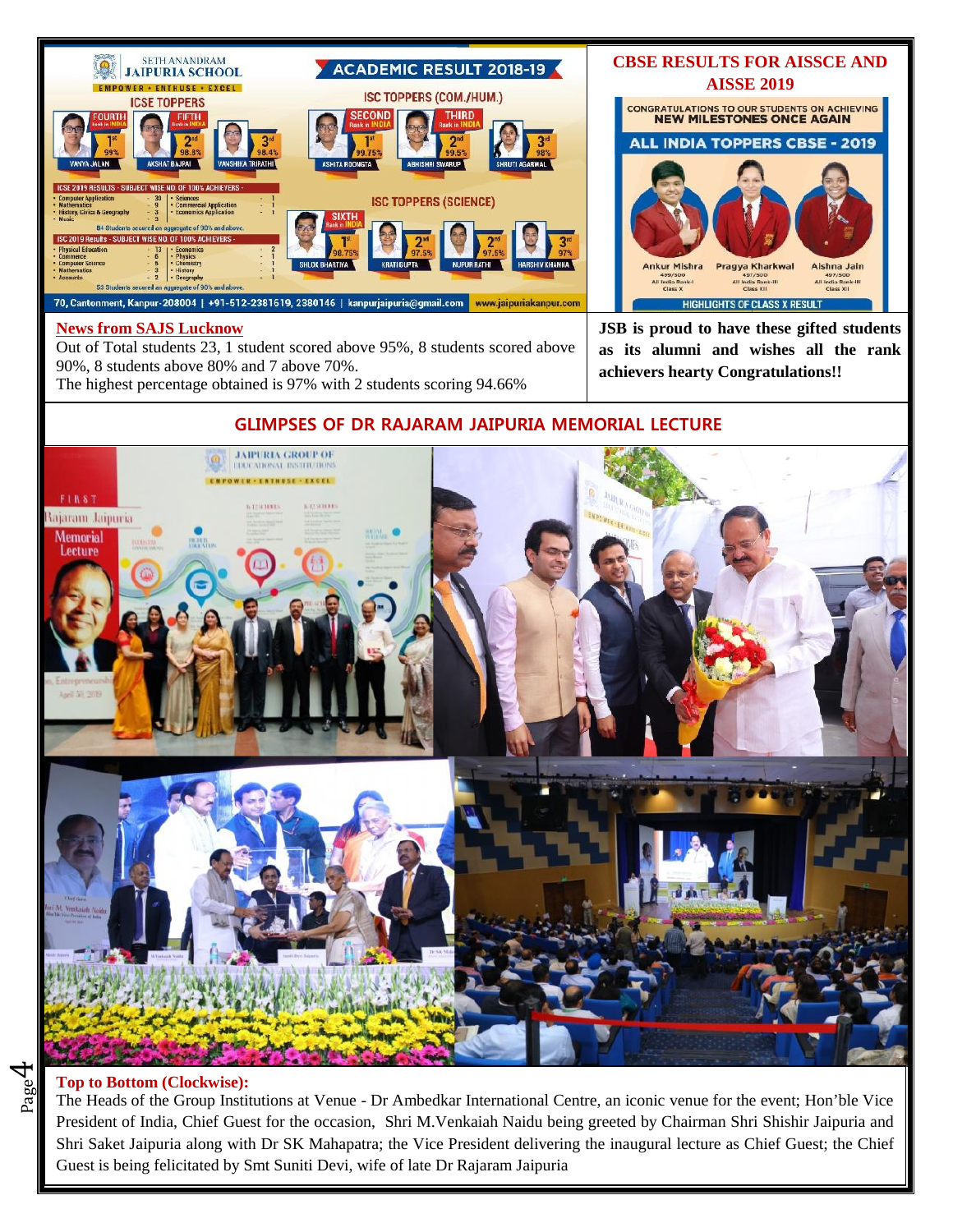

### **News from SAJS Lucknow**

Out of Total students 23, 1 student scored above 95%, 8 students scored above 90%, 8 students above 80% and 7 above 70%. The highest percentage obtained is 97% with 2 students scoring 94.66%

**CBSE RESULTS FOR AISSCE AND AISSE 2019** CONGRATULATIONS TO OUR STUDENTS ON ACHIEVING<br>NEW MILESTONES ONCE AGAIN **ALL INDIA TOPPERS CBSE - 2019** Ankur Mishra Pragya Kharkwal Aishna Jain All India Rank-III<br>Class XII All India Rank-All India Rank-III<br>Class XII **HIGHLIGHTS OF CLASS X RESULT** 

**JSB is proud to have these gifted students as its alumni and wishes all the rank achievers hearty Congratulations!!**



# **GLIMPSES OF DR RAJARAM JAIPURIA MEMORIAL LECTURE**

# **Top to Bottom (Clockwise):**

 $_{\rm{page}}$ 4

 $\frac{20}{20}$  Top to Bottom (Clockwise):<br>The Heads of the Group Institutions at Venue - Dr Ambedkar International Centre, an iconic venue for the event; Hon'ble Vice President of India, Chief Guest for the occasion, Shri M.Venkaiah Naidu being greeted by Chairman Shri Shishir Jaipuria and Shri Saket Jaipuria along with Dr SK Mahapatra; the Vice President delivering the inaugural lecture as Chief Guest; the Chief Guest is being felicitated by Smt Suniti Devi, wife of late Dr Rajaram Jaipuria